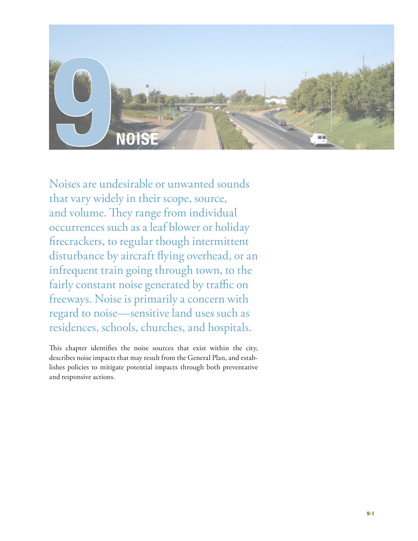

Noises are undesirable or unwanted sounds that vary widely in their scope, source, and volume. They range from individual occurrences such as a leaf blower or holiday firecrackers, to regular though intermittent disturbance by aircraft flying overhead, or an infrequent train going through town, to the fairly constant noise generated by traffic on freeways. Noise is primarily a concern with regard to noise—sensitive land uses such as residences, schools, churches, and hospitals.

This chapter identifies the noise sources that exist within the city, describes noise impacts that may result from the General Plan, and establishes policies to mitigate potential impacts through both preventative and responsive actions.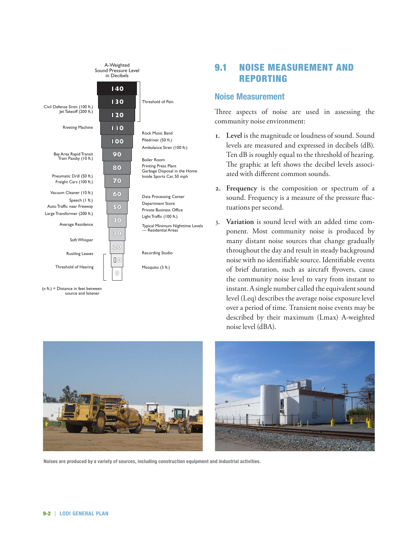

(*n* ft.) = Distance in feet between source and listener

9.1 Noise Measurement and Reporting

# **Noise Measurement**

Three aspects of noise are used in assessing the community noise environment:

- **1. Level** is the magnitude or loudness of sound. Sound levels are measured and expressed in decibels (dB). Ten dB is roughly equal to the threshold of hearing. The graphic at left shows the decibel levels associated with different common sounds.
- **2. Frequency** is the composition or spectrum of a sound. Frequency is a measure of the pressure fluctuations per second.
- 3. **Variation** is sound level with an added time component. Most community noise is produced by many distant noise sources that change gradually throughout the day and result in steady background noise with no identifiable source. Identifiable events of brief duration, such as aircraft flyovers, cause the community noise level to vary from instant to instant. A single number called the equivalent sound level (Leq) describes the average noise exposure level over a period of time. Transient noise events may be described by their maximum (Lmax) A-weighted noise level (dBA).



**Noises are produced by a variety of sources, including construction equipment and industrial activities.**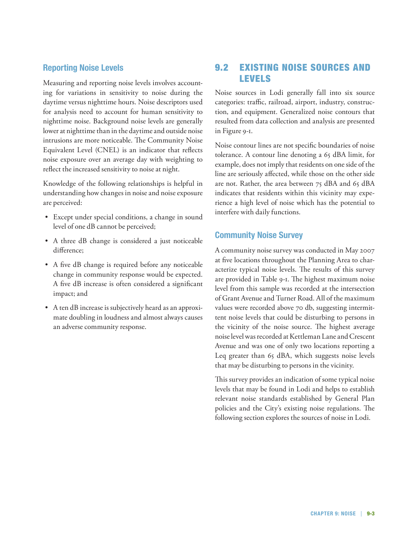# **Reporting Noise Levels**

Measuring and reporting noise levels involves accounting for variations in sensitivity to noise during the daytime versus nighttime hours. Noise descriptors used for analysis need to account for human sensitivity to nighttime noise. Background noise levels are generally lower at nighttime than in the daytime and outside noise intrusions are more noticeable. The Community Noise Equivalent Level (CNEL) is an indicator that reflects noise exposure over an average day with weighting to reflect the increased sensitivity to noise at night.

Knowledge of the following relationships is helpful in understanding how changes in noise and noise exposure are perceived:

- • Except under special conditions, a change in sound level of one dB cannot be perceived;
- A three dB change is considered a just noticeable difference;
- • A five dB change is required before any noticeable change in community response would be expected. A five dB increase is often considered a significant impact; and
- • A ten dB increase is subjectively heard as an approximate doubling in loudness and almost always causes an adverse community response.

# 9.2 Existing Noise Sources and levels

Noise sources in Lodi generally fall into six source categories: traffic, railroad, airport, industry, construction, and equipment. Generalized noise contours that resulted from data collection and analysis are presented in Figure 9-1.

Noise contour lines are not specific boundaries of noise tolerance. A contour line denoting a 65 dBA limit, for example, does not imply that residents on one side of the line are seriously affected, while those on the other side are not. Rather, the area between 75 dBA and 65 dBA indicates that residents within this vicinity may experience a high level of noise which has the potential to interfere with daily functions.

## **Community Noise Survey**

A community noise survey was conducted in May 2007 at five locations throughout the Planning Area to characterize typical noise levels. The results of this survey are provided in Table 9-1. The highest maximum noise level from this sample was recorded at the intersection of Grant Avenue and Turner Road. All of the maximum values were recorded above 70 db, suggesting intermittent noise levels that could be disturbing to persons in the vicinity of the noise source. The highest average noise level was recorded at Kettleman Lane and Crescent Avenue and was one of only two locations reporting a Leq greater than 65 dBA, which suggests noise levels that may be disturbing to persons in the vicinity.

This survey provides an indication of some typical noise levels that may be found in Lodi and helps to establish relevant noise standards established by General Plan policies and the City's existing noise regulations. The following section explores the sources of noise in Lodi.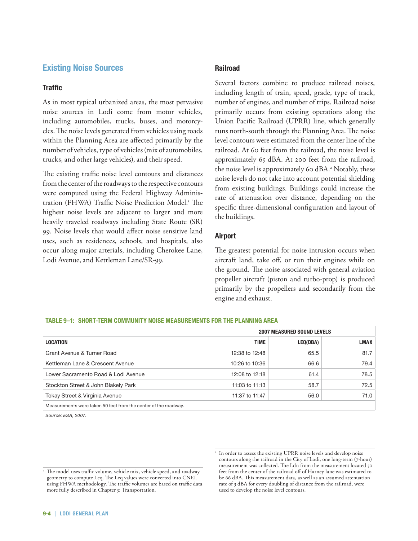# **Existing Noise Sources**

### **Traffic**

As in most typical urbanized areas, the most pervasive noise sources in Lodi come from motor vehicles, including automobiles, trucks, buses, and motorcycles. The noise levels generated from vehicles using roads within the Planning Area are affected primarily by the number of vehicles, type of vehicles (mix of automobiles, trucks, and other large vehicles), and their speed.

The existing traffic noise level contours and distances from the center of the roadways to the respective contours were computed using the Federal Highway Administration (FHWA) Traffic Noise Prediction Model.<sup>1</sup> The highest noise levels are adjacent to larger and more heavily traveled roadways including State Route (SR) 99. Noise levels that would affect noise sensitive land uses, such as residences, schools, and hospitals, also occur along major arterials, including Cherokee Lane, Lodi Avenue, and Kettleman Lane/SR-99.

### **Railroad**

Several factors combine to produce railroad noises, including length of train, speed, grade, type of track, number of engines, and number of trips. Railroad noise primarily occurs from existing operations along the Union Pacific Railroad (UPRR) line, which generally runs north-south through the Planning Area. The noise level contours were estimated from the center line of the railroad. At 60 feet from the railroad, the noise level is approximately 65 dBA. At 200 feet from the railroad, the noise level is approximately 60 dBA.<sup>2</sup> Notably, these noise levels do not take into account potential shielding from existing buildings. Buildings could increase the rate of attenuation over distance, depending on the specific three-dimensional configuration and layout of the buildings.

### **Airport**

The greatest potential for noise intrusion occurs when aircraft land, take off, or run their engines while on the ground. The noise associated with general aviation propeller aircraft (piston and turbo-prop) is produced primarily by the propellers and secondarily from the engine and exhaust.

### **Table 9–1: Short-Term Community Noise Measurements for the Planning Area**

|                                                                 | <b>2007 MEASURED SOUND LEVELS</b> |          |             |
|-----------------------------------------------------------------|-----------------------------------|----------|-------------|
| <b>LOCATION</b>                                                 | <b>TIME</b>                       | LEQ(DBA) | <b>LMAX</b> |
| Grant Avenue & Turner Road                                      | 12:38 to 12:48                    | 65.5     | 81.7        |
| Kettleman Lane & Crescent Avenue                                | 10:26 to 10:36                    | 66.6     | 79.4        |
| Lower Sacramento Road & Lodi Avenue                             | 12:08 to 12:18                    | 61.4     | 78.5        |
| Stockton Street & John Blakely Park                             | 11:03 to $11:13$                  | 58.7     | 72.5        |
| Tokay Street & Virginia Avenue                                  | 11:37 to 11:47                    | 56.0     | 71.0        |
| Measurements were taken 50 feet from the center of the roadway. |                                   |          |             |

*Source: ESA, 2007.*

<sup>&</sup>lt;sup>1</sup> The model uses traffic volume, vehicle mix, vehicle speed, and roadway geometry to compute Leq. The Leq values were converted into CNEL using FHWA methodology. The traffic volumes are based on traffic data more fully described in Chapter 5: Transportation.

<sup>&</sup>lt;sup>2</sup> In order to assess the existing UPRR noise levels and develop noise contours along the railroad in the City of Lodi, one long-term (7-hour) measurement was collected. The Ldn from the measurement located 50 feet from the center of the railroad off of Harney lane was estimated to be 66 dBA. This measurement data, as well as an assumed attenuation rate of 3 dBA for every doubling of distance from the railroad, were used to develop the noise level contours.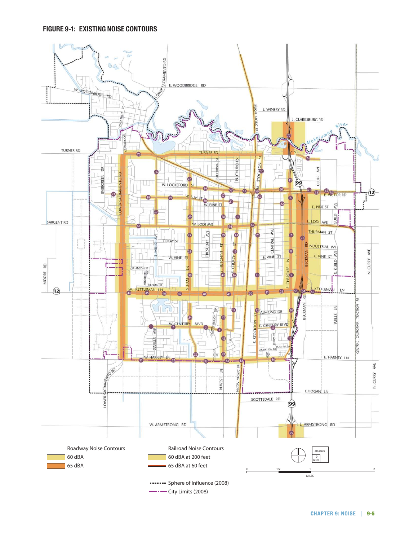### **Figure 9-1: Existing Noise Contours**

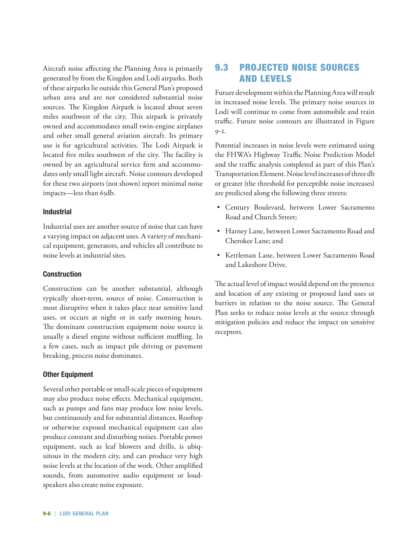Aircraft noise affecting the Planning Area is primarily generated by from the Kingdon and Lodi airparks. Both of these airparks lie outside this General Plan's proposed urban area and are not considered substantial noise sources. The Kingdon Airpark is located about seven miles southwest of the city. This airpark is privately owned and accommodates small twin-engine airplanes and other small general aviation aircraft. Its primary use is for agricultural activities. The Lodi Airpark is located five miles southwest of the city. The facility is owned by an agricultural service firm and accommodates only small light aircraft. Noise contours developed for these two airports (not shown) report minimal noise impacts—less than 65db.

### **Industrial**

Industrial uses are another source of noise that can have a varying impact on adjacent uses. A variety of mechanical equipment, generators, and vehicles all contribute to noise levels at industrial sites.

## **Construction**

Construction can be another substantial, although typically short-term, source of noise. Construction is most disruptive when it takes place near sensitive land uses, or occurs at night or in early morning hours. The dominant construction equipment noise source is usually a diesel engine without sufficient muffling. In a few cases, such as impact pile driving or pavement breaking, process noise dominates.

### **Other Equipment**

Several other portable or small-scale pieces of equipment may also produce noise effects. Mechanical equipment, such as pumps and fans may produce low noise levels, but continuously and for substantial distances. Rooftop or otherwise exposed mechanical equipment can also produce constant and disturbing noises. Portable power equipment, such as leaf blowers and drills, is ubiquitous in the modern city, and can produce very high noise levels at the location of the work. Other amplified sounds, from automotive audio equipment or loudspeakers also create noise exposure.

# 9.3 Projected noise Sources and Levels

Future development within the Planning Area will result in increased noise levels. The primary noise sources in Lodi will continue to come from automobile and train traffic. Future noise contours are illustrated in Figure 9-2.

Potential increases in noise levels were estimated using the FHWA's Highway Traffic Noise Prediction Model and the traffic analysis completed as part of this Plan's Transportation Element. Noise level increases of three db or greater (the threshold for perceptible noise increases) are predicted along the following three streets:

- • Century Boulevard, between Lower Sacramento Road and Church Street;
- • Harney Lane, between Lower Sacramento Road and Cherokee Lane; and
- • Kettleman Lane, between Lower Sacramento Road and Lakeshore Drive.

The actual level of impact would depend on the presence and location of any existing or proposed land uses or barriers in relation to the noise source. The General Plan seeks to reduce noise levels at the source through mitigation policies and reduce the impact on sensitive receptors.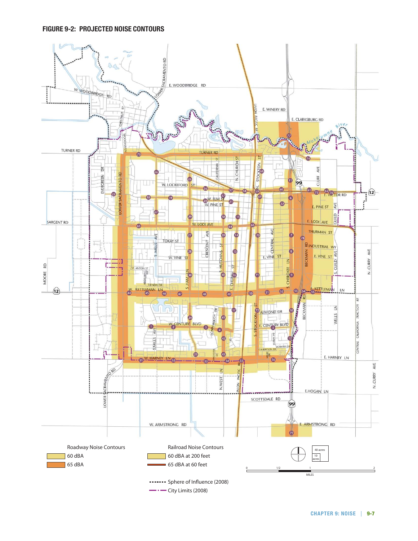### **Figure 9-2: Projected Noise Contours**

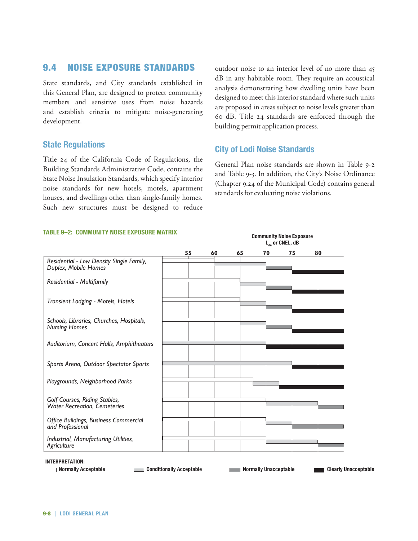# 9.4 Noise Exposure Standards

State standards, and City standards established in this General Plan, are designed to protect community members and sensitive uses from noise hazards and establish criteria to mitigate noise-generating development.

## **State Regulations**

Title 24 of the California Code of Regulations, the Building Standards Administrative Code, contains the State Noise Insulation Standards, which specify interior noise standards for new hotels, motels, apartment (Chap houses, and dwellings other than single-family homes. houses, and dwellings other than single-family homes.<br>Such new structures must be designed to reduce

outdoor noise to an interior level of no more than 45 dB in any habitable room. They require an acoustical analysis demonstrating how dwelling units have been designed to meet this interior standard where such units are proposed in areas subject to noise levels greater than are proposed in areas subject to noise levels greater than<br>60 dB. Title 24 standards are enforced through the building permit application process. mough the

# **City of Lodi Noise Standards**

**Community Noise Exposure** 

General Plan noise standards are shown in Table 9-2 and Table 9-3. In addition, the City's Noise Ordinance pecify interior (Chapter 9.24 of the Municipal Code) contains general<br>
s, apartment standards for evaluating poise violations standards for evaluating noise violations. **55 60 65 70 75 80** Matrix Guidelines randaling holse violations. **COMMUNITY NOISE EXPOSURE** shown in Table 9-

#### **TABLE 9-2: COMMUNITY NOISE EXPOSURE MATRIX**



**INOTE INTERFERITE INTERFERITE** 

Normally Acceptable **Conditionally Acceptable <b>Conditionally Acceptable Normally Unacceptable Clearly Unacceptable** 

**included** Clearly Unacceptable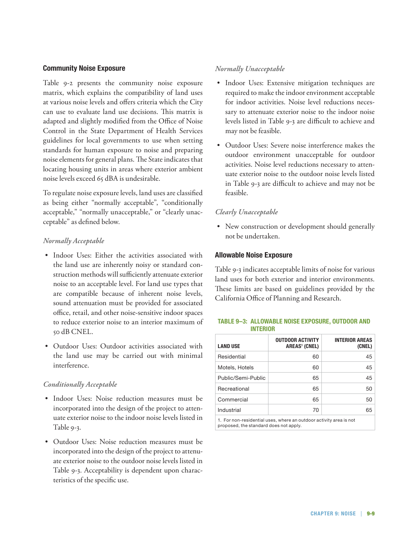### **Community Noise Exposure**

Table 9-2 presents the community noise exposure matrix, which explains the compatibility of land uses at various noise levels and offers criteria which the City can use to evaluate land use decisions. This matrix is adapted and slightly modified from the Office of Noise Control in the State Department of Health Services guidelines for local governments to use when setting standards for human exposure to noise and preparing noise elements for general plans. The State indicates that locating housing units in areas where exterior ambient noise levels exceed 65 dBA is undesirable.

To regulate noise exposure levels, land uses are classified as being either "normally acceptable", "conditionally acceptable," "normally unacceptable," or "clearly unacceptable" as defined below.

### *Normally Acceptable*

- • Indoor Uses: Either the activities associated with the land use are inherently noisy or standard construction methods will sufficiently attenuate exterior noise to an acceptable level. For land use types that are compatible because of inherent noise levels, sound attenuation must be provided for associated office, retail, and other noise-sensitive indoor spaces to reduce exterior noise to an interior maximum of 50 dB CNEL.
- • Outdoor Uses: Outdoor activities associated with the land use may be carried out with minimal interference.

### *Conditionally Acceptable*

- • Indoor Uses: Noise reduction measures must be incorporated into the design of the project to attenuate exterior noise to the indoor noise levels listed in Table 9-3.
- Outdoor Uses: Noise reduction measures must be incorporated into the design of the project to attenuate exterior noise to the outdoor noise levels listed in Table 9-3. Acceptability is dependent upon characteristics of the specific use.

## *Normally Unacceptable*

- Indoor Uses: Extensive mitigation techniques are required to make the indoor environment acceptable for indoor activities. Noise level reductions necessary to attenuate exterior noise to the indoor noise levels listed in Table 9-3 are difficult to achieve and may not be feasible.
- • Outdoor Uses: Severe noise interference makes the outdoor environment unacceptable for outdoor activities. Noise level reductions necessary to attenuate exterior noise to the outdoor noise levels listed in Table 9-3 are difficult to achieve and may not be feasible.

## *Clearly Unacceptable*

• New construction or development should generally not be undertaken.

### **Allowable Noise Exposure**

Table 9-3 indicates acceptable limits of noise for various land uses for both exterior and interior environments. These limits are based on guidelines provided by the California Office of Planning and Research.

### **Table 9–3: Allowable Noise Exposure, Outdoor and Interior**

| <b>OUTDOOR ACTIVITY</b><br><b>AREAS<sup>1</sup></b> (CNEL) | INTERIOR AREAS<br>(CNEL) |
|------------------------------------------------------------|--------------------------|
| 60                                                         | 45                       |
| 60                                                         | 45                       |
| 65                                                         | 45                       |
| 65                                                         | 50                       |
| 65                                                         | 50                       |
| 70                                                         | 65                       |
|                                                            |                          |

1. For non-residential uses, where an outdoor activity area is not proposed, the standard does not apply.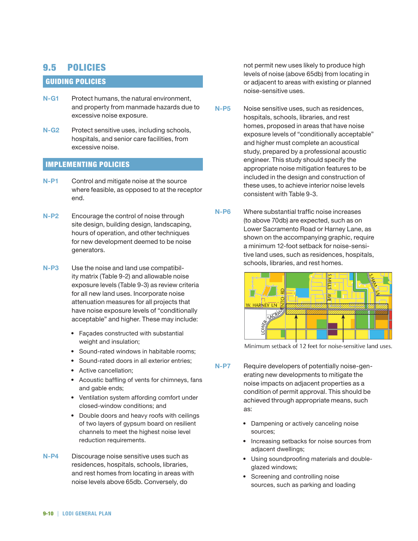# 9.5 Policies

## Guiding Policies

- **N-G1**  Protect humans, the natural environment, and property from manmade hazards due to excessive noise exposure.
- **N-G2** Protect sensitive uses, including schools, hospitals, and senior care facilities, from excessive noise.

## Implementing Policies

- **N-P1** Control and mitigate noise at the source where feasible, as opposed to at the receptor end.
- **N-P2**  Encourage the control of noise through site design, building design, landscaping, hours of operation, and other techniques for new development deemed to be noise generators.
- **N-P3**  Use the noise and land use compatibility matrix (Table 9-2) and allowable noise exposure levels (Table 9-3) as review criteria for all new land uses. Incorporate noise attenuation measures for all projects that have noise exposure levels of "conditionally acceptable" and higher. These may include:
	- Façades constructed with substantial weight and insulation;
	- Sound-rated windows in habitable rooms;
	- Sound-rated doors in all exterior entries;
	- Active cancellation;
	- Acoustic baffling of vents for chimneys, fans and gable ends;
	- Ventilation system affording comfort under closed-window conditions; and
	- Double doors and heavy roofs with ceilings of two layers of gypsum board on resilient channels to meet the highest noise level reduction requirements.
- **N-P4**  Discourage noise sensitive uses such as residences, hospitals, schools, libraries, and rest homes from locating in areas with noise levels above 65db. Conversely, do

not permit new uses likely to produce high levels of noise (above 65db) from locating in or adjacent to areas with existing or planned noise-sensitive uses.

- **N-P5**  Noise sensitive uses, such as residences, hospitals, schools, libraries, and rest homes, proposed in areas that have noise exposure levels of "conditionally acceptable" and higher must complete an acoustical study, prepared by a professional acoustic engineer. This study should specify the appropriate noise mitigation features to be included in the design and construction of these uses, to achieve interior noise levels consistent with Table 9-3.
- **N-P6**  Where substantial traffic noise increases (to above 70db) are expected, such as on Lower Sacramento Road or Harney Lane, as shown on the accompanying graphic, require a minimum 12-foot setback for noise-sensitive land uses, such as residences, hospitals, schools, libraries, and rest homes.



Minimum setback of 12 feet for noise-sensitive land uses.

- **N-P7**  Require developers of potentially noise-generating new developments to mitigate the noise impacts on adjacent properties as a condition of permit approval. This should be achieved through appropriate means, such as:
	- Dampening or actively canceling noise sources;
	- Increasing setbacks for noise sources from adjacent dwellings;
	- Using soundproofing materials and doubleglazed windows:
	- Screening and controlling noise sources, such as parking and loading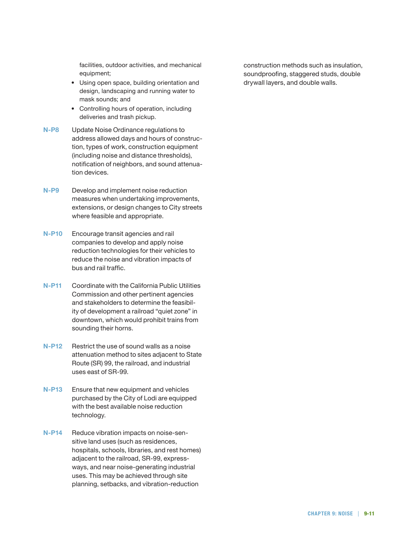facilities, outdoor activities, and mechanical equipment;

- Using open space, building orientation and design, landscaping and running water to mask sounds; and
- Controlling hours of operation, including deliveries and trash pickup.
- **N-P8**  Update Noise Ordinance regulations to address allowed days and hours of construction, types of work, construction equipment (including noise and distance thresholds), notification of neighbors, and sound attenuation devices.
- **N-P9**  Develop and implement noise reduction measures when undertaking improvements, extensions, or design changes to City streets where feasible and appropriate.
- **N-P10**  Encourage transit agencies and rail companies to develop and apply noise reduction technologies for their vehicles to reduce the noise and vibration impacts of bus and rail traffic.
- **N-P11**  Coordinate with the California Public Utilities Commission and other pertinent agencies and stakeholders to determine the feasibility of development a railroad "quiet zone" in downtown, which would prohibit trains from sounding their horns.
- **N-P12**  Restrict the use of sound walls as a noise attenuation method to sites adjacent to State Route (SR) 99, the railroad, and industrial uses east of SR-99.
- **N-P13**  Ensure that new equipment and vehicles purchased by the City of Lodi are equipped with the best available noise reduction technology.
- **N-P14**  Reduce vibration impacts on noise-sensitive land uses (such as residences, hospitals, schools, libraries, and rest homes) adjacent to the railroad, SR-99, expressways, and near noise-generating industrial uses. This may be achieved through site planning, setbacks, and vibration-reduction

construction methods such as insulation, soundproofing, staggered studs, double drywall layers, and double walls.